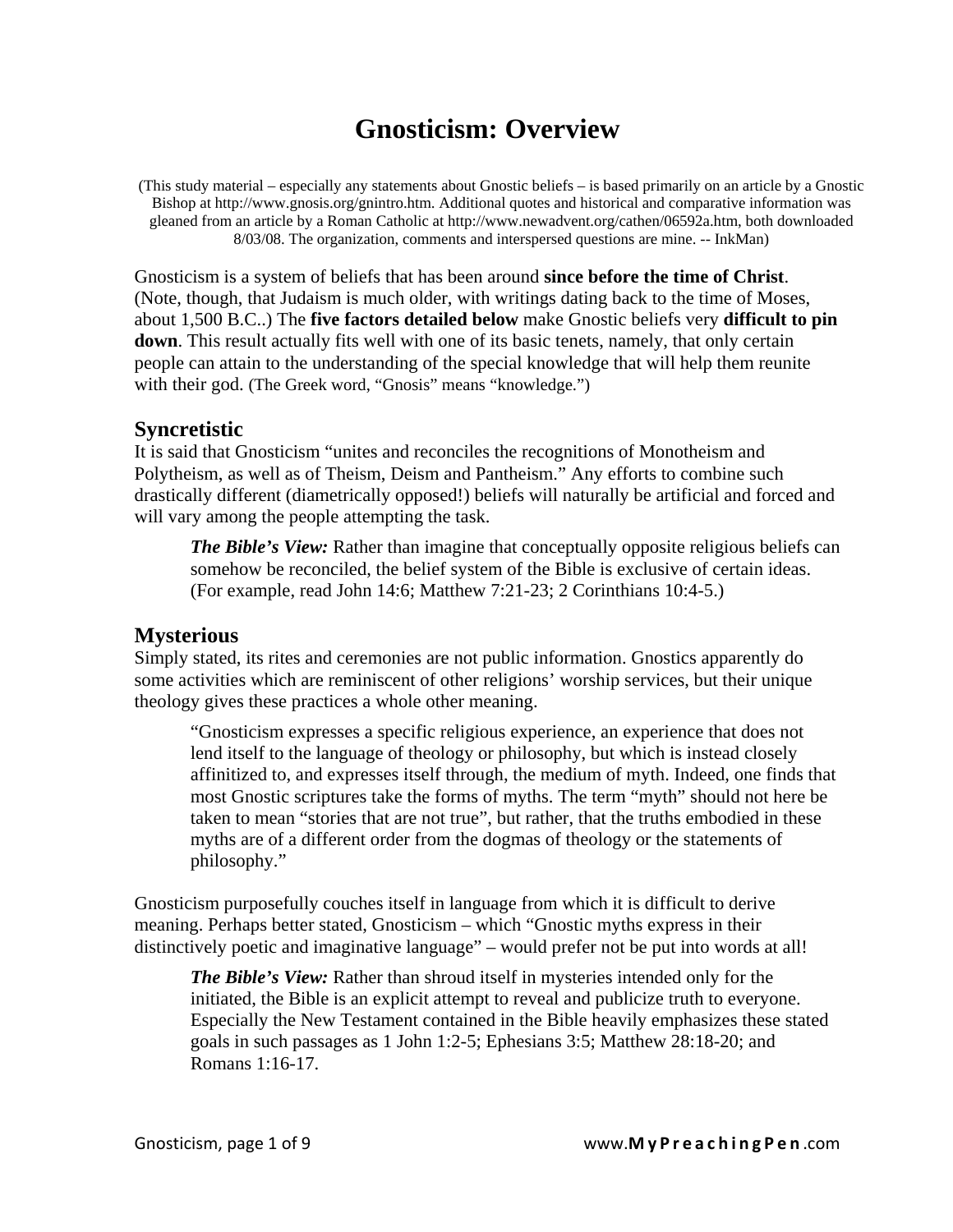# **Gnosticism: Overview**

(This study material – especially any statements about Gnostic beliefs – is based primarily on an article by a Gnostic Bishop at http://www.gnosis.org/gnintro.htm. Additional quotes and historical and comparative information was gleaned from an article by a Roman Catholic at http://www.newadvent.org/cathen/06592a.htm, both downloaded 8/03/08. The organization, comments and interspersed questions are mine. -- InkMan)

Gnosticism is a system of beliefs that has been around **since before the time of Christ**. (Note, though, that Judaism is much older, with writings dating back to the time of Moses, about 1,500 B.C..) The **five factors detailed below** make Gnostic beliefs very **difficult to pin down**. This result actually fits well with one of its basic tenets, namely, that only certain people can attain to the understanding of the special knowledge that will help them reunite with their god. (The Greek word, "Gnosis" means "knowledge.")

### **Syncretistic**

It is said that Gnosticism "unites and reconciles the recognitions of Monotheism and Polytheism, as well as of Theism, Deism and Pantheism." Any efforts to combine such drastically different (diametrically opposed!) beliefs will naturally be artificial and forced and will vary among the people attempting the task.

*The Bible's View:* Rather than imagine that conceptually opposite religious beliefs can somehow be reconciled, the belief system of the Bible is exclusive of certain ideas. (For example, read John 14:6; Matthew 7:21-23; 2 Corinthians 10:4-5.)

## **Mysterious**

Simply stated, its rites and ceremonies are not public information. Gnostics apparently do some activities which are reminiscent of other religions' worship services, but their unique theology gives these practices a whole other meaning.

"Gnosticism expresses a specific religious experience, an experience that does not lend itself to the language of theology or philosophy, but which is instead closely affinitized to, and expresses itself through, the medium of myth. Indeed, one finds that most Gnostic scriptures take the forms of myths. The term "myth" should not here be taken to mean "stories that are not true", but rather, that the truths embodied in these myths are of a different order from the dogmas of theology or the statements of philosophy."

Gnosticism purposefully couches itself in language from which it is difficult to derive meaning. Perhaps better stated, Gnosticism – which "Gnostic myths express in their distinctively poetic and imaginative language" – would prefer not be put into words at all!

*The Bible's View:* Rather than shroud itself in mysteries intended only for the initiated, the Bible is an explicit attempt to reveal and publicize truth to everyone. Especially the New Testament contained in the Bible heavily emphasizes these stated goals in such passages as 1 John 1:2-5; Ephesians 3:5; Matthew 28:18-20; and Romans 1:16-17.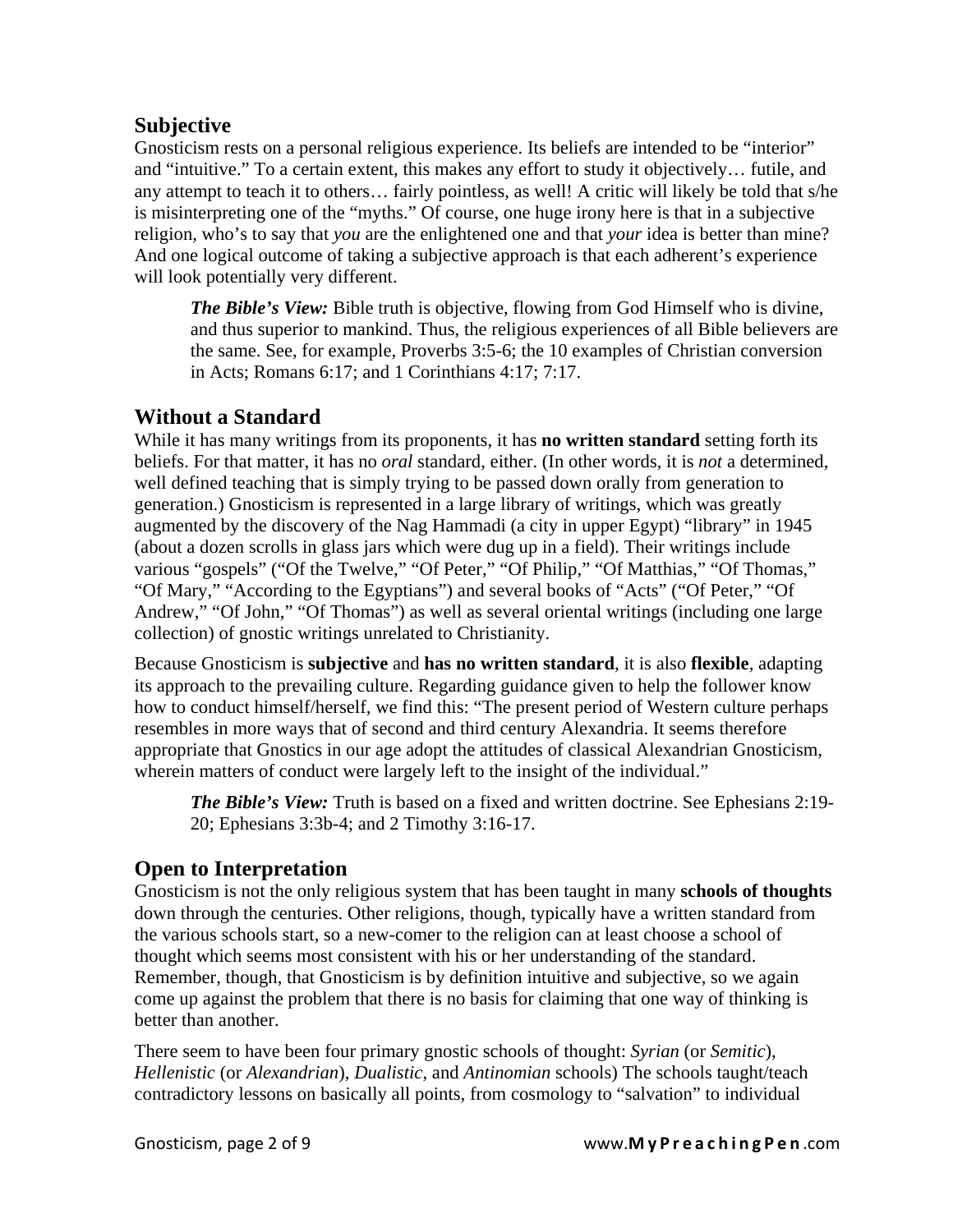## **Subjective**

Gnosticism rests on a personal religious experience. Its beliefs are intended to be "interior" and "intuitive." To a certain extent, this makes any effort to study it objectively… futile, and any attempt to teach it to others… fairly pointless, as well! A critic will likely be told that s/he is misinterpreting one of the "myths." Of course, one huge irony here is that in a subjective religion, who's to say that *you* are the enlightened one and that *your* idea is better than mine? And one logical outcome of taking a subjective approach is that each adherent's experience will look potentially very different.

*The Bible's View:* Bible truth is objective, flowing from God Himself who is divine, and thus superior to mankind. Thus, the religious experiences of all Bible believers are the same. See, for example, Proverbs 3:5-6; the 10 examples of Christian conversion in Acts; Romans 6:17; and 1 Corinthians 4:17; 7:17.

## **Without a Standard**

While it has many writings from its proponents, it has **no written standard** setting forth its beliefs. For that matter, it has no *oral* standard, either. (In other words, it is *not* a determined, well defined teaching that is simply trying to be passed down orally from generation to generation.) Gnosticism is represented in a large library of writings, which was greatly augmented by the discovery of the Nag Hammadi (a city in upper Egypt) "library" in 1945 (about a dozen scrolls in glass jars which were dug up in a field). Their writings include various "gospels" ("Of the Twelve," "Of Peter," "Of Philip," "Of Matthias," "Of Thomas," "Of Mary," "According to the Egyptians") and several books of "Acts" ("Of Peter," "Of Andrew," "Of John," "Of Thomas") as well as several oriental writings (including one large collection) of gnostic writings unrelated to Christianity.

Because Gnosticism is **subjective** and **has no written standard**, it is also **flexible**, adapting its approach to the prevailing culture. Regarding guidance given to help the follower know how to conduct himself/herself, we find this: "The present period of Western culture perhaps resembles in more ways that of second and third century Alexandria. It seems therefore appropriate that Gnostics in our age adopt the attitudes of classical Alexandrian Gnosticism, wherein matters of conduct were largely left to the insight of the individual."

*The Bible's View:* Truth is based on a fixed and written doctrine. See Ephesians 2:19- 20; Ephesians 3:3b-4; and 2 Timothy 3:16-17.

## **Open to Interpretation**

Gnosticism is not the only religious system that has been taught in many **schools of thoughts** down through the centuries. Other religions, though, typically have a written standard from the various schools start, so a new-comer to the religion can at least choose a school of thought which seems most consistent with his or her understanding of the standard. Remember, though, that Gnosticism is by definition intuitive and subjective, so we again come up against the problem that there is no basis for claiming that one way of thinking is better than another.

There seem to have been four primary gnostic schools of thought: *Syrian* (or *Semitic*), *Hellenistic* (or *Alexandrian*), *Dualistic*, and *Antinomian* schools) The schools taught/teach contradictory lessons on basically all points, from cosmology to "salvation" to individual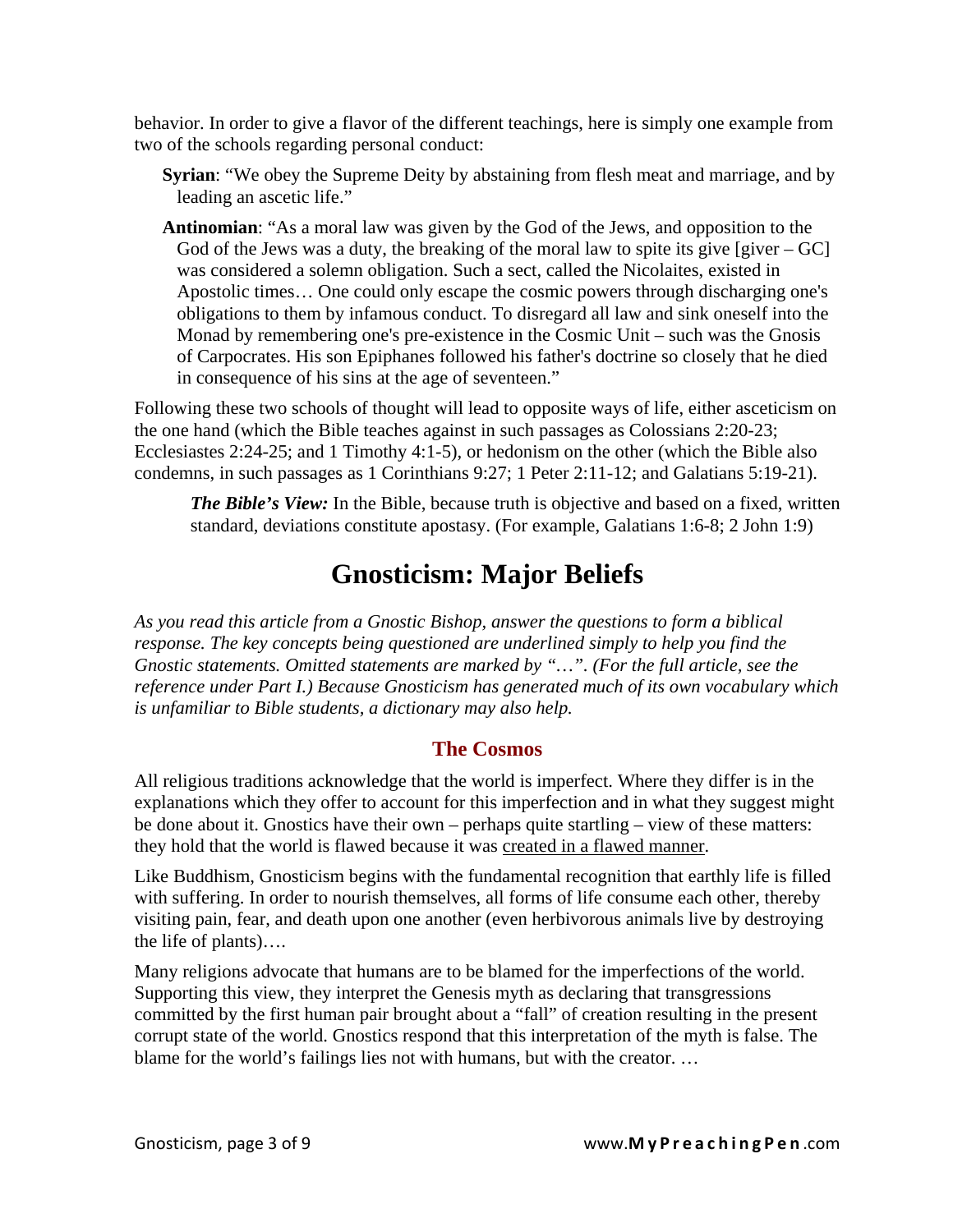behavior. In order to give a flavor of the different teachings, here is simply one example from two of the schools regarding personal conduct:

- **Syrian**: "We obey the Supreme Deity by abstaining from flesh meat and marriage, and by leading an ascetic life."
- **Antinomian**: "As a moral law was given by the God of the Jews, and opposition to the God of the Jews was a duty, the breaking of the moral law to spite its give  $[giver - GC]$ was considered a solemn obligation. Such a sect, called the Nicolaites, existed in Apostolic times… One could only escape the cosmic powers through discharging one's obligations to them by infamous conduct. To disregard all law and sink oneself into the Monad by remembering one's pre-existence in the Cosmic Unit – such was the Gnosis of Carpocrates. His son Epiphanes followed his father's doctrine so closely that he died in consequence of his sins at the age of seventeen."

Following these two schools of thought will lead to opposite ways of life, either asceticism on the one hand (which the Bible teaches against in such passages as Colossians 2:20-23; Ecclesiastes 2:24-25; and 1 Timothy 4:1-5), or hedonism on the other (which the Bible also condemns, in such passages as 1 Corinthians 9:27; 1 Peter 2:11-12; and Galatians 5:19-21).

*The Bible's View:* In the Bible, because truth is objective and based on a fixed, written standard, deviations constitute apostasy. (For example, Galatians 1:6-8; 2 John 1:9)

## **Gnosticism: Major Beliefs**

*As you read this article from a Gnostic Bishop, answer the questions to form a biblical response. The key concepts being questioned are underlined simply to help you find the Gnostic statements. Omitted statements are marked by "…". (For the full article, see the reference under Part I.) Because Gnosticism has generated much of its own vocabulary which is unfamiliar to Bible students, a dictionary may also help.* 

#### **The Cosmos**

All religious traditions acknowledge that the world is imperfect. Where they differ is in the explanations which they offer to account for this imperfection and in what they suggest might be done about it. Gnostics have their own – perhaps quite startling – view of these matters: they hold that the world is flawed because it was created in a flawed manner.

Like Buddhism, Gnosticism begins with the fundamental recognition that earthly life is filled with suffering. In order to nourish themselves, all forms of life consume each other, thereby visiting pain, fear, and death upon one another (even herbivorous animals live by destroying the life of plants)….

Many religions advocate that humans are to be blamed for the imperfections of the world. Supporting this view, they interpret the Genesis myth as declaring that transgressions committed by the first human pair brought about a "fall" of creation resulting in the present corrupt state of the world. Gnostics respond that this interpretation of the myth is false. The blame for the world's failings lies not with humans, but with the creator. …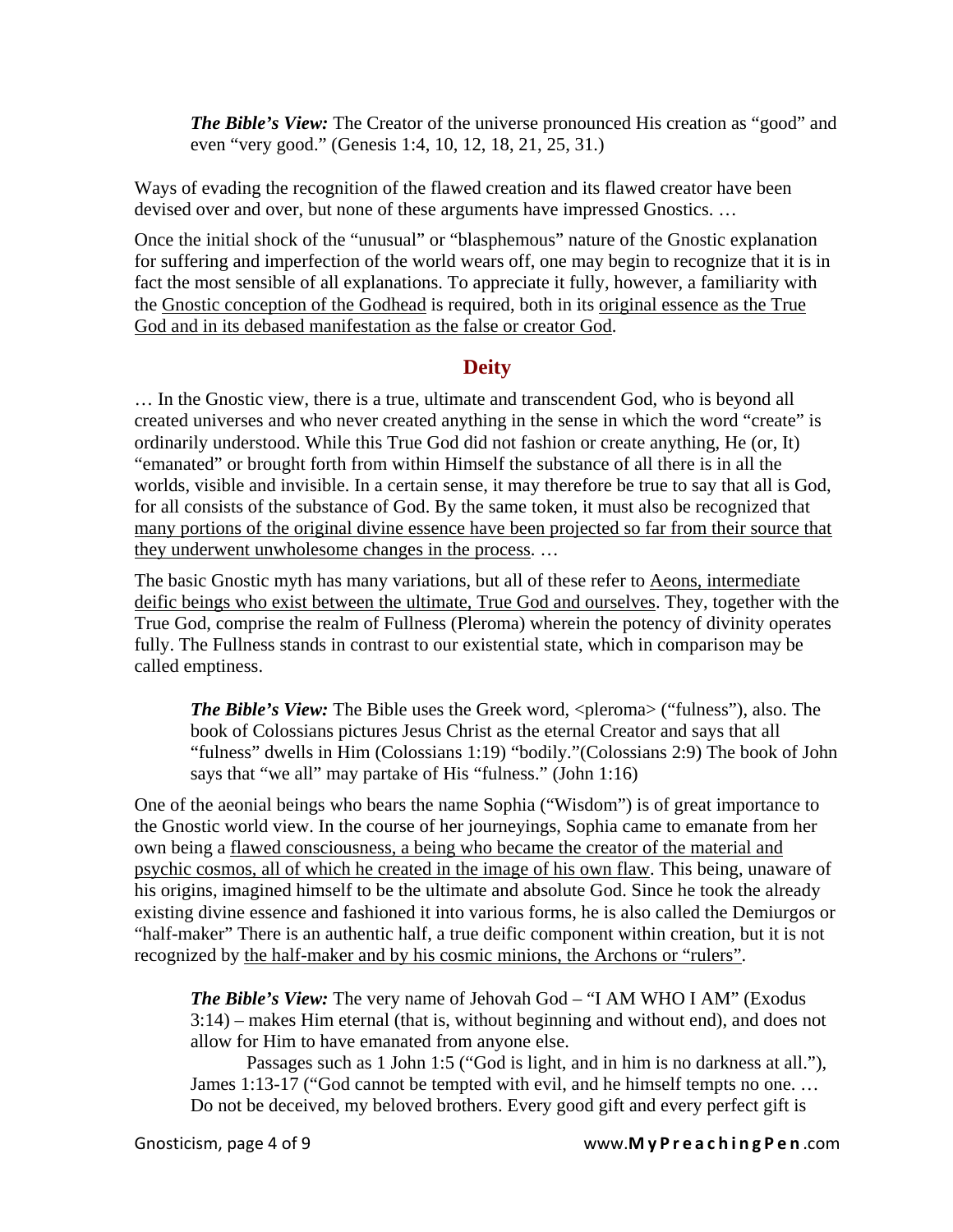*The Bible's View:* The Creator of the universe pronounced His creation as "good" and even "very good." (Genesis 1:4, 10, 12, 18, 21, 25, 31.)

Ways of evading the recognition of the flawed creation and its flawed creator have been devised over and over, but none of these arguments have impressed Gnostics. …

Once the initial shock of the "unusual" or "blasphemous" nature of the Gnostic explanation for suffering and imperfection of the world wears off, one may begin to recognize that it is in fact the most sensible of all explanations. To appreciate it fully, however, a familiarity with the Gnostic conception of the Godhead is required, both in its original essence as the True God and in its debased manifestation as the false or creator God.

#### **Deity**

… In the Gnostic view, there is a true, ultimate and transcendent God, who is beyond all created universes and who never created anything in the sense in which the word "create" is ordinarily understood. While this True God did not fashion or create anything, He (or, It) "emanated" or brought forth from within Himself the substance of all there is in all the worlds, visible and invisible. In a certain sense, it may therefore be true to say that all is God, for all consists of the substance of God. By the same token, it must also be recognized that many portions of the original divine essence have been projected so far from their source that they underwent unwholesome changes in the process. …

The basic Gnostic myth has many variations, but all of these refer to Aeons, intermediate deific beings who exist between the ultimate, True God and ourselves. They, together with the True God, comprise the realm of Fullness (Pleroma) wherein the potency of divinity operates fully. The Fullness stands in contrast to our existential state, which in comparison may be called emptiness.

*The Bible's View:* The Bible uses the Greek word,  $\langle$  pleroma $\rangle$  ("fulness"), also. The book of Colossians pictures Jesus Christ as the eternal Creator and says that all "fulness" dwells in Him (Colossians 1:19) "bodily."(Colossians 2:9) The book of John says that "we all" may partake of His "fulness." (John 1:16)

One of the aeonial beings who bears the name Sophia ("Wisdom") is of great importance to the Gnostic world view. In the course of her journeyings, Sophia came to emanate from her own being a flawed consciousness, a being who became the creator of the material and psychic cosmos, all of which he created in the image of his own flaw. This being, unaware of his origins, imagined himself to be the ultimate and absolute God. Since he took the already existing divine essence and fashioned it into various forms, he is also called the Demiurgos or "half-maker" There is an authentic half, a true deific component within creation, but it is not recognized by the half-maker and by his cosmic minions, the Archons or "rulers".

*The Bible's View:* The very name of Jehovah God – "I AM WHO I AM" (Exodus 3:14) – makes Him eternal (that is, without beginning and without end), and does not allow for Him to have emanated from anyone else.

 Passages such as 1 John 1:5 ("God is light, and in him is no darkness at all."), James 1:13-17 ("God cannot be tempted with evil, and he himself tempts no one. … Do not be deceived, my beloved brothers. Every good gift and every perfect gift is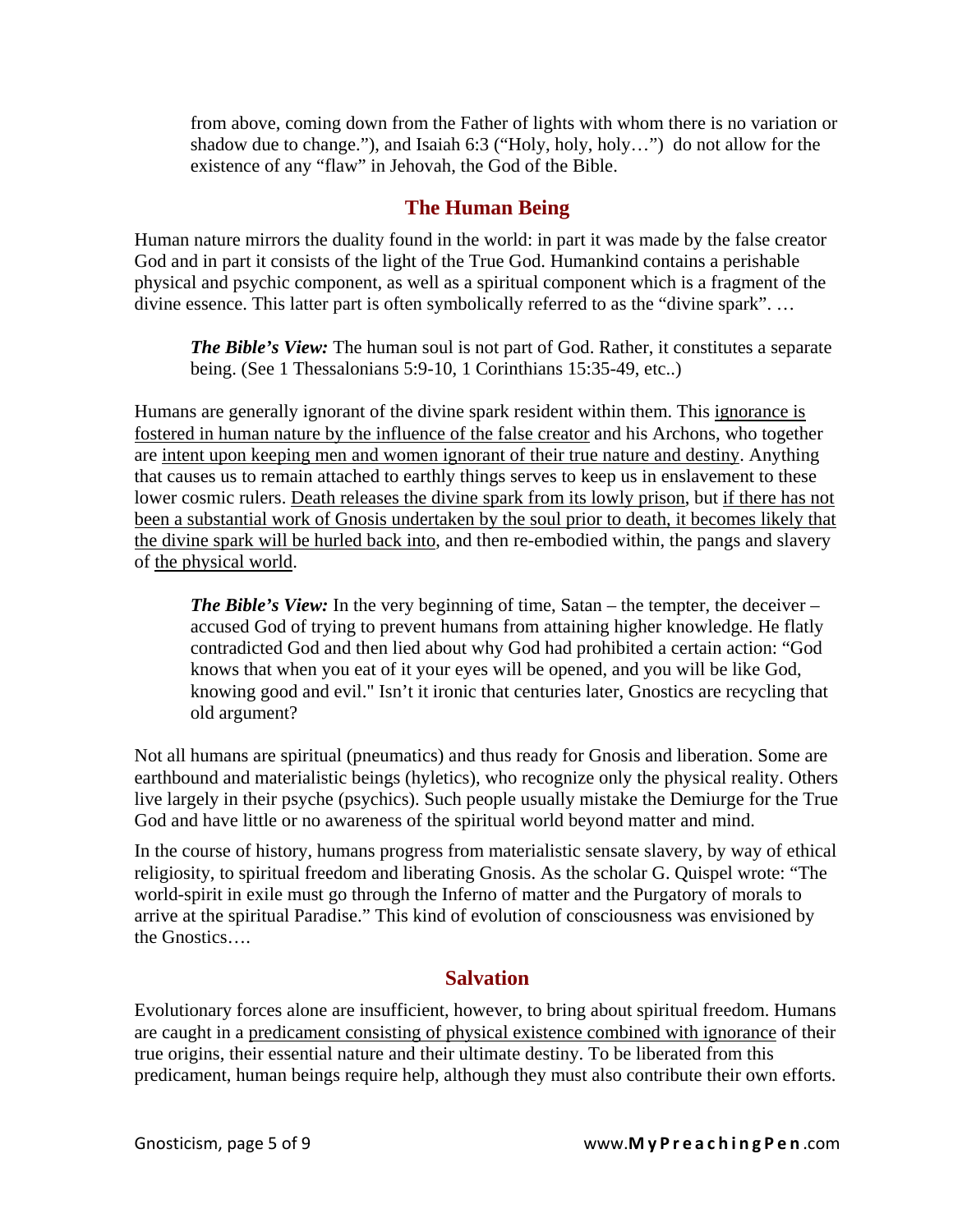from above, coming down from the Father of lights with whom there is no variation or shadow due to change."), and Isaiah 6:3 ("Holy, holy, holy…") do not allow for the existence of any "flaw" in Jehovah, the God of the Bible.

### **The Human Being**

Human nature mirrors the duality found in the world: in part it was made by the false creator God and in part it consists of the light of the True God. Humankind contains a perishable physical and psychic component, as well as a spiritual component which is a fragment of the divine essence. This latter part is often symbolically referred to as the "divine spark". …

*The Bible's View:* The human soul is not part of God. Rather, it constitutes a separate being. (See 1 Thessalonians 5:9-10, 1 Corinthians 15:35-49, etc..)

Humans are generally ignorant of the divine spark resident within them. This ignorance is fostered in human nature by the influence of the false creator and his Archons, who together are intent upon keeping men and women ignorant of their true nature and destiny. Anything that causes us to remain attached to earthly things serves to keep us in enslavement to these lower cosmic rulers. Death releases the divine spark from its lowly prison, but if there has not been a substantial work of Gnosis undertaken by the soul prior to death, it becomes likely that the divine spark will be hurled back into, and then re-embodied within, the pangs and slavery of the physical world.

*The Bible's View:* In the very beginning of time, Satan – the tempter, the deceiver – accused God of trying to prevent humans from attaining higher knowledge. He flatly contradicted God and then lied about why God had prohibited a certain action: "God knows that when you eat of it your eyes will be opened, and you will be like God, knowing good and evil." Isn't it ironic that centuries later, Gnostics are recycling that old argument?

Not all humans are spiritual (pneumatics) and thus ready for Gnosis and liberation. Some are earthbound and materialistic beings (hyletics), who recognize only the physical reality. Others live largely in their psyche (psychics). Such people usually mistake the Demiurge for the True God and have little or no awareness of the spiritual world beyond matter and mind.

In the course of history, humans progress from materialistic sensate slavery, by way of ethical religiosity, to spiritual freedom and liberating Gnosis. As the scholar G. Quispel wrote: "The world-spirit in exile must go through the Inferno of matter and the Purgatory of morals to arrive at the spiritual Paradise." This kind of evolution of consciousness was envisioned by the Gnostics….

#### **Salvation**

Evolutionary forces alone are insufficient, however, to bring about spiritual freedom. Humans are caught in a predicament consisting of physical existence combined with ignorance of their true origins, their essential nature and their ultimate destiny. To be liberated from this predicament, human beings require help, although they must also contribute their own efforts.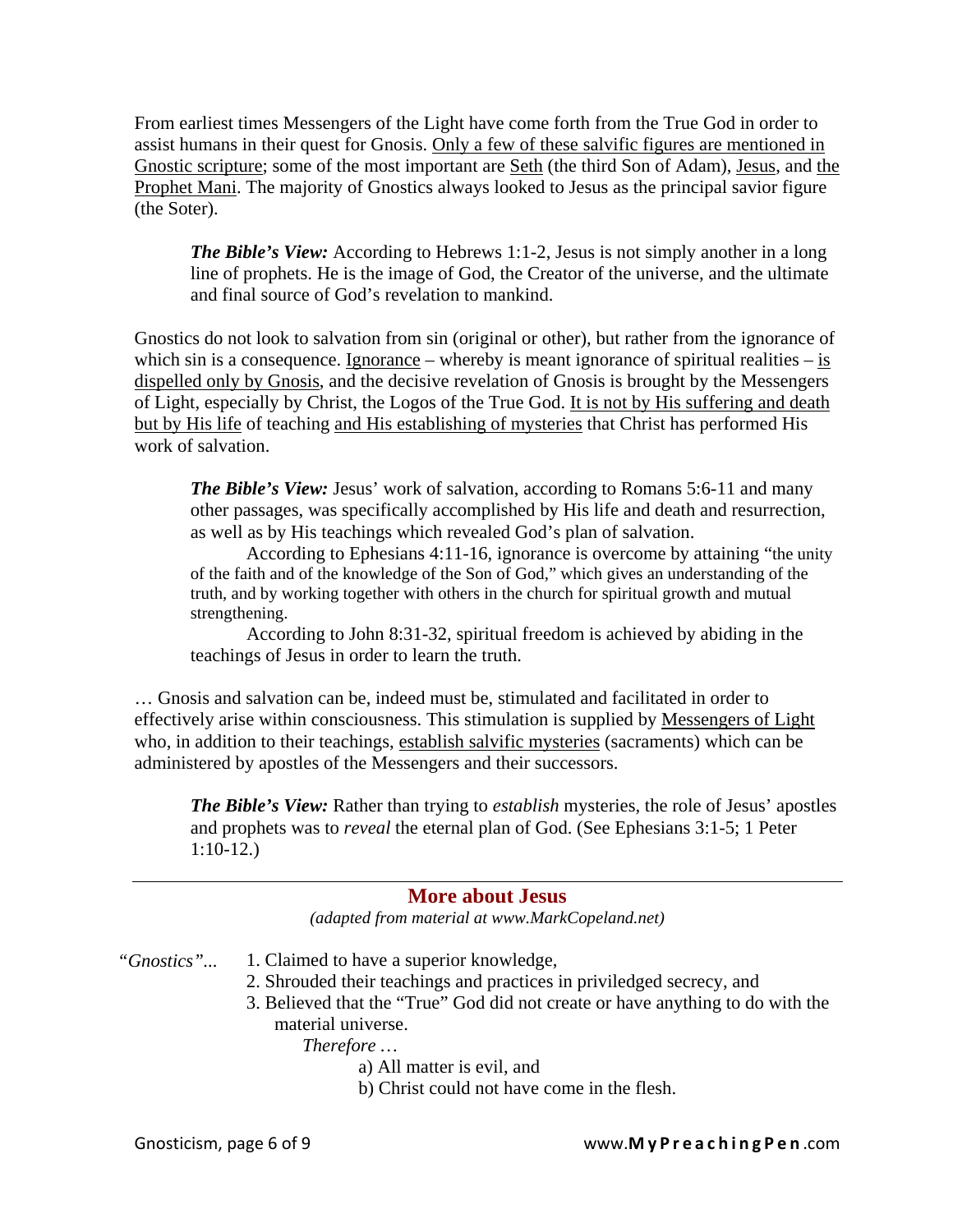From earliest times Messengers of the Light have come forth from the True God in order to assist humans in their quest for Gnosis. Only a few of these salvific figures are mentioned in Gnostic scripture; some of the most important are Seth (the third Son of Adam), Jesus, and the Prophet Mani. The majority of Gnostics always looked to Jesus as the principal savior figure (the Soter).

*The Bible's View:* According to Hebrews 1:1-2, Jesus is not simply another in a long line of prophets. He is the image of God, the Creator of the universe, and the ultimate and final source of God's revelation to mankind.

Gnostics do not look to salvation from sin (original or other), but rather from the ignorance of which sin is a consequence. Ignorance – whereby is meant ignorance of spiritual realities – is dispelled only by Gnosis, and the decisive revelation of Gnosis is brought by the Messengers of Light, especially by Christ, the Logos of the True God. It is not by His suffering and death but by His life of teaching and His establishing of mysteries that Christ has performed His work of salvation.

*The Bible's View: Jesus' work of salvation, according to Romans 5:6-11 and many* other passages, was specifically accomplished by His life and death and resurrection, as well as by His teachings which revealed God's plan of salvation.

 According to Ephesians 4:11-16, ignorance is overcome by attaining "the unity of the faith and of the knowledge of the Son of God," which gives an understanding of the truth, and by working together with others in the church for spiritual growth and mutual strengthening.

According to John 8:31-32, spiritual freedom is achieved by abiding in the teachings of Jesus in order to learn the truth.

… Gnosis and salvation can be, indeed must be, stimulated and facilitated in order to effectively arise within consciousness. This stimulation is supplied by Messengers of Light who, in addition to their teachings, establish salvific mysteries (sacraments) which can be administered by apostles of the Messengers and their successors.

*The Bible's View:* Rather than trying to *establish* mysteries, the role of Jesus' apostles and prophets was to *reveal* the eternal plan of God. (See Ephesians 3:1-5; 1 Peter 1:10-12.)

#### **More about Jesus**

*(adapted from material at www.MarkCopeland.net)* 

*"Gnostics"...*  1. Claimed to have a superior knowledge,

- 2. Shrouded their teachings and practices in priviledged secrecy, and
- 3. Believed that the "True" God did not create or have anything to do with the material universe.

*Therefore …* 

- a) All matter is evil, and
- b) Christ could not have come in the flesh.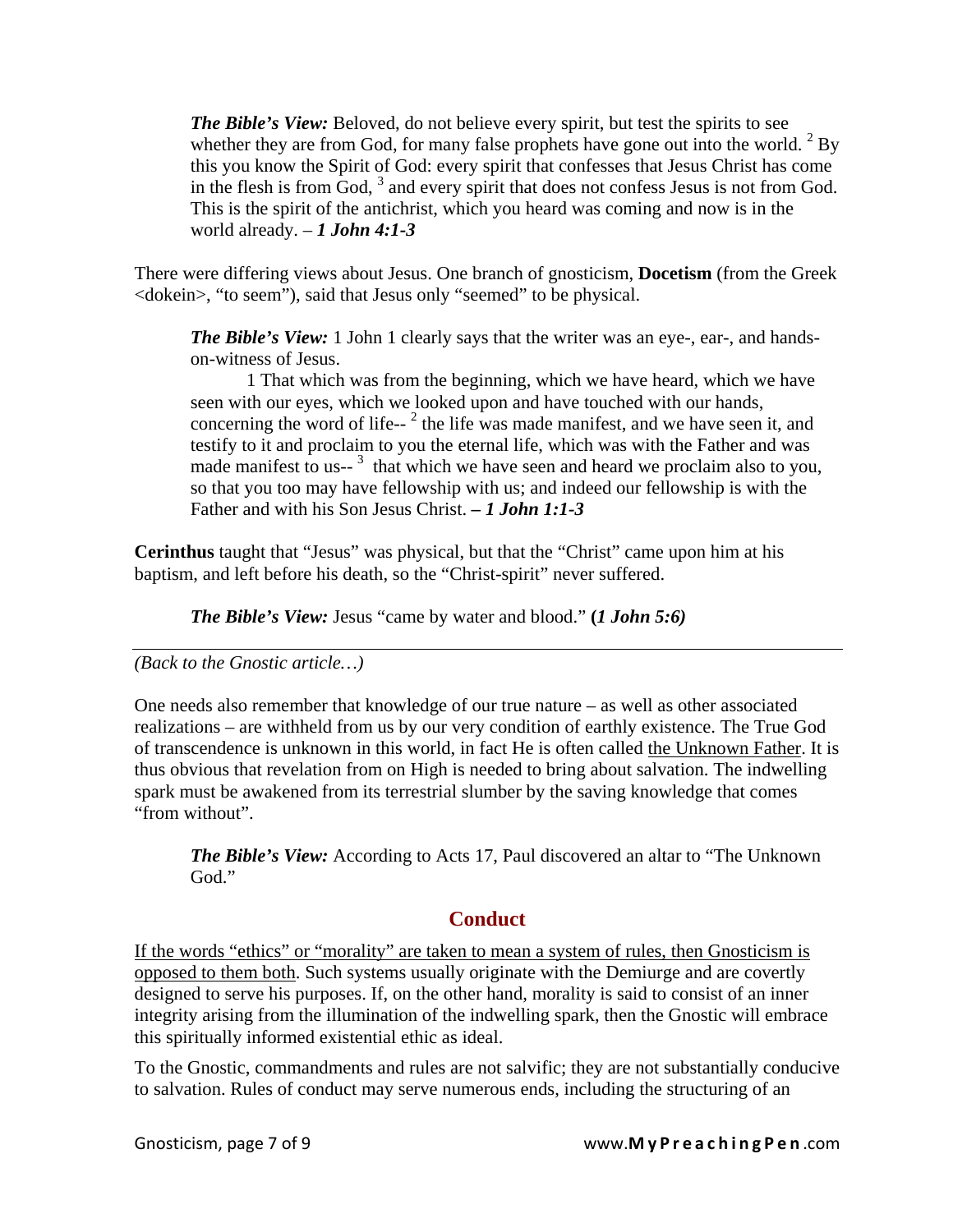*The Bible's View:* Beloved, do not believe every spirit, but test the spirits to see whether they are from God, for many false prophets have gone out into the world.  $2$  By this you know the Spirit of God: every spirit that confesses that Jesus Christ has come in the flesh is from God,  $3$  and every spirit that does not confess Jesus is not from God. This is the spirit of the antichrist, which you heard was coming and now is in the world already. – 1 *John* 4:1-3

There were differing views about Jesus. One branch of gnosticism, **Docetism** (from the Greek <dokein>, "to seem"), said that Jesus only "seemed" to be physical.

*The Bible's View:* 1 John 1 clearly says that the writer was an eye-, ear-, and handson-witness of Jesus.

 1 That which was from the beginning, which we have heard, which we have seen with our eyes, which we looked upon and have touched with our hands, concerning the word of life- $2^2$  the life was made manifest, and we have seen it, and testify to it and proclaim to you the eternal life, which was with the Father and was made manifest to us- $3$  that which we have seen and heard we proclaim also to you, so that you too may have fellowship with us; and indeed our fellowship is with the Father and with his Son Jesus Christ. *– 1 John 1:1-3* 

**Cerinthus** taught that "Jesus" was physical, but that the "Christ" came upon him at his baptism, and left before his death, so the "Christ-spirit" never suffered.

*The Bible's View:* Jesus "came by water and blood." **(***1 John 5:6)*

*(Back to the Gnostic article…)* 

One needs also remember that knowledge of our true nature – as well as other associated realizations – are withheld from us by our very condition of earthly existence. The True God of transcendence is unknown in this world, in fact He is often called the Unknown Father. It is thus obvious that revelation from on High is needed to bring about salvation. The indwelling spark must be awakened from its terrestrial slumber by the saving knowledge that comes "from without".

*The Bible's View:* According to Acts 17, Paul discovered an altar to "The Unknown" God."

#### **Conduct**

If the words "ethics" or "morality" are taken to mean a system of rules, then Gnosticism is opposed to them both. Such systems usually originate with the Demiurge and are covertly designed to serve his purposes. If, on the other hand, morality is said to consist of an inner integrity arising from the illumination of the indwelling spark, then the Gnostic will embrace this spiritually informed existential ethic as ideal.

To the Gnostic, commandments and rules are not salvific; they are not substantially conducive to salvation. Rules of conduct may serve numerous ends, including the structuring of an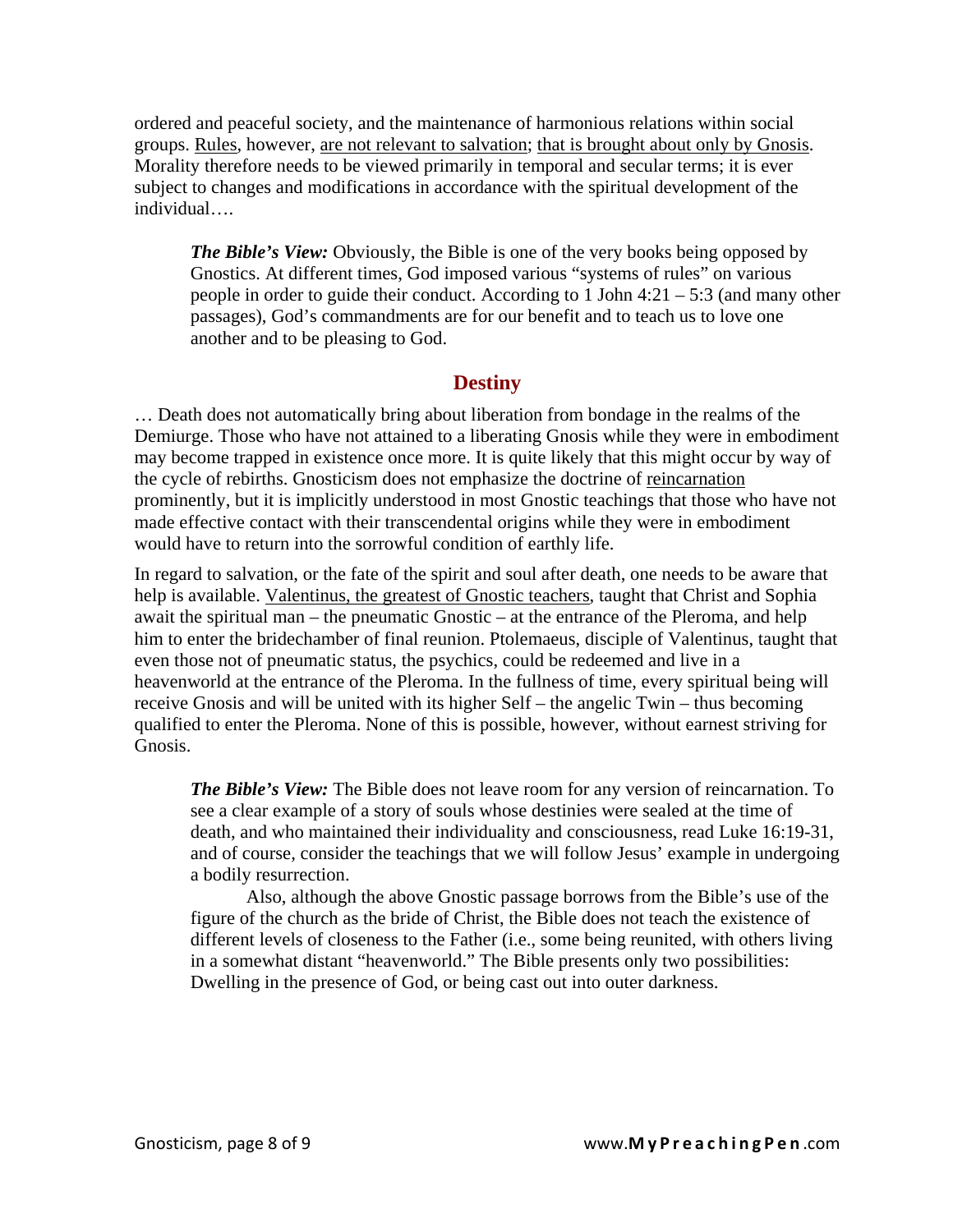ordered and peaceful society, and the maintenance of harmonious relations within social groups. Rules, however, are not relevant to salvation; that is brought about only by Gnosis. Morality therefore needs to be viewed primarily in temporal and secular terms; it is ever subject to changes and modifications in accordance with the spiritual development of the individual….

*The Bible's View:* Obviously, the Bible is one of the very books being opposed by Gnostics. At different times, God imposed various "systems of rules" on various people in order to guide their conduct. According to 1 John 4:21 – 5:3 (and many other passages), God's commandments are for our benefit and to teach us to love one another and to be pleasing to God.

#### **Destiny**

… Death does not automatically bring about liberation from bondage in the realms of the Demiurge. Those who have not attained to a liberating Gnosis while they were in embodiment may become trapped in existence once more. It is quite likely that this might occur by way of the cycle of rebirths. Gnosticism does not emphasize the doctrine of reincarnation prominently, but it is implicitly understood in most Gnostic teachings that those who have not made effective contact with their transcendental origins while they were in embodiment would have to return into the sorrowful condition of earthly life.

In regard to salvation, or the fate of the spirit and soul after death, one needs to be aware that help is available. Valentinus, the greatest of Gnostic teachers, taught that Christ and Sophia await the spiritual man – the pneumatic Gnostic – at the entrance of the Pleroma, and help him to enter the bridechamber of final reunion. Ptolemaeus, disciple of Valentinus, taught that even those not of pneumatic status, the psychics, could be redeemed and live in a heavenworld at the entrance of the Pleroma. In the fullness of time, every spiritual being will receive Gnosis and will be united with its higher Self – the angelic Twin – thus becoming qualified to enter the Pleroma. None of this is possible, however, without earnest striving for Gnosis.

*The Bible's View:* The Bible does not leave room for any version of reincarnation. To see a clear example of a story of souls whose destinies were sealed at the time of death, and who maintained their individuality and consciousness, read Luke 16:19-31, and of course, consider the teachings that we will follow Jesus' example in undergoing a bodily resurrection.

 Also, although the above Gnostic passage borrows from the Bible's use of the figure of the church as the bride of Christ, the Bible does not teach the existence of different levels of closeness to the Father (i.e., some being reunited, with others living in a somewhat distant "heavenworld." The Bible presents only two possibilities: Dwelling in the presence of God, or being cast out into outer darkness.